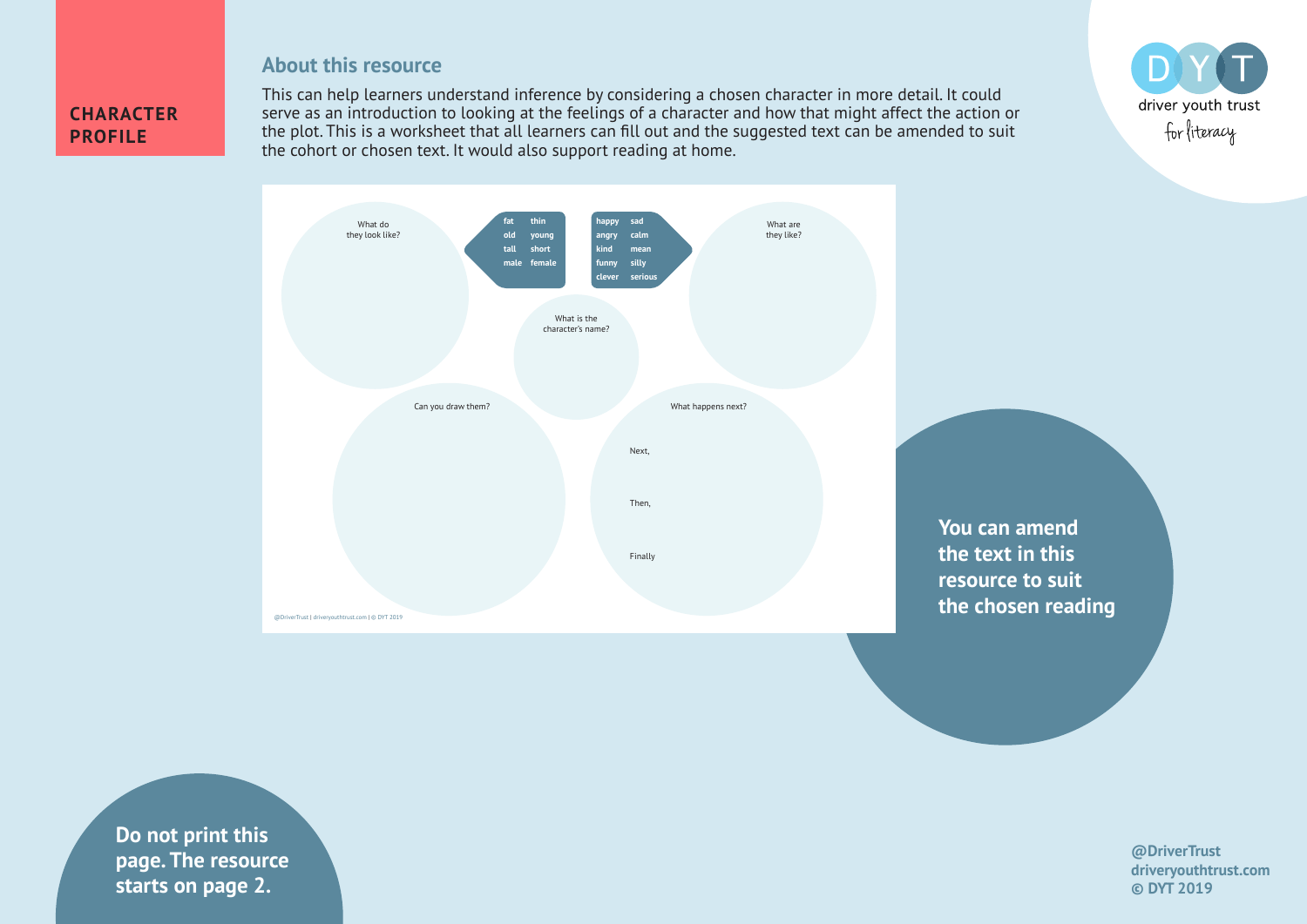## **About this resource**

## **CHARACTER PROFILE**

This can help learners understand inference by considering a chosen character in more detail. It could serve as an introduction to looking at the feelings of a character and how that might affect the action or the plot. This is a worksheet that all learners can fill out and the suggested text can be amended to suit the cohort or chosen text. It would also support reading at home.





**Do not print this page. The resource starts on page 2.**

## **@DriverTrust driveryouthtrust.com © DYT 2019**